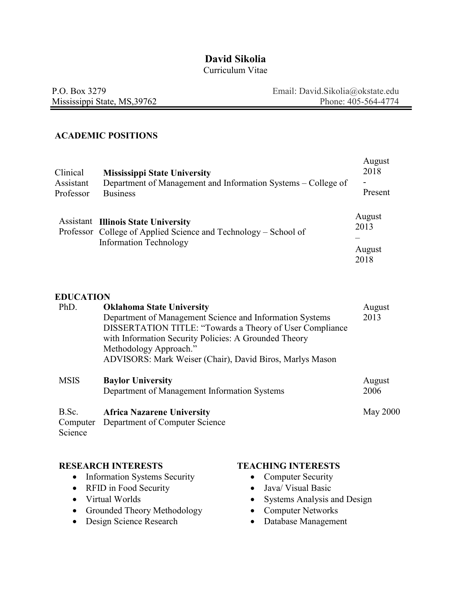# **David Sikolia**

### Curriculum Vitae

| P.O. Box 3279                | Email: David.Sikolia@okstate.edu |
|------------------------------|----------------------------------|
| Mississippi State, MS, 39762 | Phone: 405-564-4774              |

### **ACADEMIC POSITIONS**

| Clinical<br>Assistant<br>Professor | <b>Mississippi State University</b><br>Department of Management and Information Systems – College of<br><b>Business</b>                        | August<br>2018<br>-<br>Present   |
|------------------------------------|------------------------------------------------------------------------------------------------------------------------------------------------|----------------------------------|
|                                    | <b>Assistant Illinois State University</b><br>Professor College of Applied Science and Technology – School of<br><b>Information Technology</b> | August<br>2013<br>August<br>2018 |
| <b>*****</b> . ***                 |                                                                                                                                                |                                  |

#### **EDUCATION**

| PhD.        | <b>Oklahoma State University</b>                         | August          |
|-------------|----------------------------------------------------------|-----------------|
|             | Department of Management Science and Information Systems | 2013            |
|             | DISSERTATION TITLE: "Towards a Theory of User Compliance |                 |
|             | with Information Security Policies: A Grounded Theory    |                 |
|             | Methodology Approach."                                   |                 |
|             | ADVISORS: Mark Weiser (Chair), David Biros, Marlys Mason |                 |
| <b>MSIS</b> | <b>Baylor University</b>                                 | August          |
|             | Department of Management Information Systems             | 2006            |
|             |                                                          |                 |
| B.Sc.       | <b>Africa Nazarene University</b>                        | <b>May 2000</b> |

### **RESEARCH INTERESTS**

- Information Systems Security
- RFID in Food Security
- Virtual Worlds
- Grounded Theory Methodology
- Design Science Research

### **TEACHING INTERESTS**

- Computer Security
- Java/ Visual Basic
- Systems Analysis and Design
- Computer Networks
- Database Management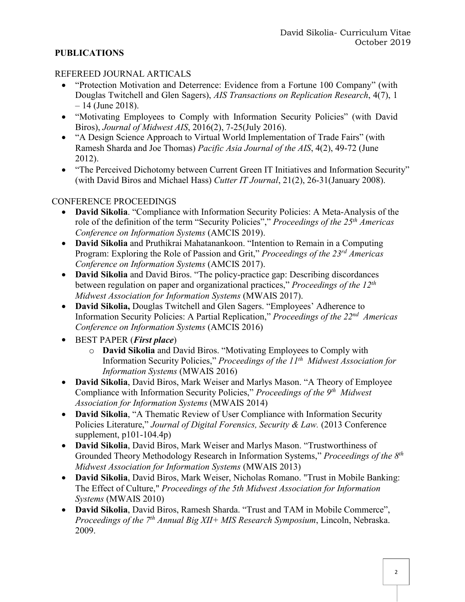## **PUBLICATIONS**

## REFEREED JOURNAL ARTICALS

- "Protection Motivation and Deterrence: Evidence from a Fortune 100 Company" (with Douglas Twitchell and Glen Sagers), *AIS Transactions on Replication Research*, 4(7), 1  $-14$  (June 2018).
- "Motivating Employees to Comply with Information Security Policies" (with David Biros), *Journal of Midwest AIS*, 2016(2), 7-25(July 2016).
- "A Design Science Approach to Virtual World Implementation of Trade Fairs" (with Ramesh Sharda and Joe Thomas) *Pacific Asia Journal of the AIS*, 4(2), 49-72 (June 2012).
- "The Perceived Dichotomy between Current Green IT Initiatives and Information Security" (with David Biros and Michael Hass) *Cutter IT Journal*, 21(2), 26-31(January 2008).

## CONFERENCE PROCEEDINGS

- **David Sikolia**. "Compliance with Information Security Policies: A Meta-Analysis of the role of the definition of the term "Security Policies"," *Proceedings of the 25th Americas Conference on Information Systems* (AMCIS 2019).
- **David Sikolia** and Pruthikrai Mahatanankoon. "Intention to Remain in a Computing Program: Exploring the Role of Passion and Grit," *Proceedings of the 23rd Americas Conference on Information Systems* (AMCIS 2017).
- **David Sikolia** and David Biros. "The policy-practice gap: Describing discordances between regulation on paper and organizational practices," *Proceedings of the 12th Midwest Association for Information Systems* (MWAIS 2017).
- **David Sikolia,** Douglas Twitchell and Glen Sagers. "Employees' Adherence to Information Security Policies: A Partial Replication," *Proceedings of the 22nd Americas Conference on Information Systems* (AMCIS 2016)
- BEST PAPER (*First place*)
	- o **David Sikolia** and David Biros. "Motivating Employees to Comply with Information Security Policies," *Proceedings of the 11th Midwest Association for Information Systems* (MWAIS 2016)
- **David Sikolia**, David Biros, Mark Weiser and Marlys Mason. "A Theory of Employee Compliance with Information Security Policies," *Proceedings of the 9th Midwest Association for Information Systems* (MWAIS 2014)
- **David Sikolia**, "A Thematic Review of User Compliance with Information Security Policies Literature," *Journal of Digital Forensics, Security & Law.* (2013 Conference supplement, p101-104.4p)
- **David Sikolia**, David Biros, Mark Weiser and Marlys Mason. "Trustworthiness of Grounded Theory Methodology Research in Information Systems," *Proceedings of the 8th Midwest Association for Information Systems* (MWAIS 2013)
- **David Sikolia**, David Biros, Mark Weiser, Nicholas Romano. "Trust in Mobile Banking: The Effect of Culture," *Proceedings of the 5th Midwest Association for Information Systems* (MWAIS 2010)
- **David Sikolia**, David Biros, Ramesh Sharda. "Trust and TAM in Mobile Commerce", *Proceedings of the 7th Annual Big XII+ MIS Research Symposium*, Lincoln, Nebraska. 2009.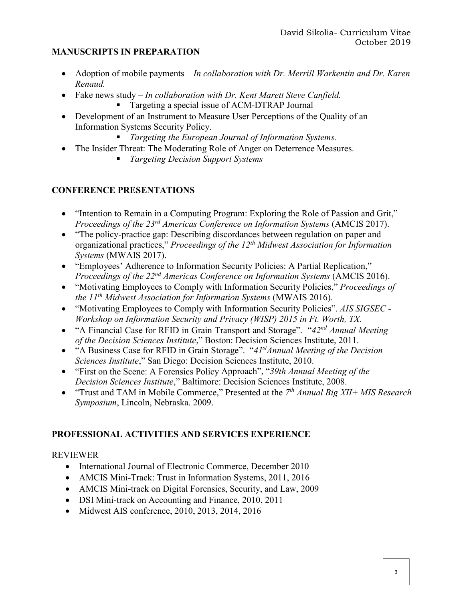## **MANUSCRIPTS IN PREPARATION**

- Adoption of mobile payments *In collaboration with Dr. Merrill Warkentin and Dr. Karen Renaud.*
- Fake news study *In collaboration with Dr. Kent Marett Steve Canfield.*
	- Targeting a special issue of ACM-DTRAP Journal
- Development of an Instrument to Measure User Perceptions of the Quality of an Information Systems Security Policy.
	- *Targeting the European Journal of Information Systems.*
- The Insider Threat: The Moderating Role of Anger on Deterrence Measures.
	- § *Targeting Decision Support Systems*

## **CONFERENCE PRESENTATIONS**

- "Intention to Remain in a Computing Program: Exploring the Role of Passion and Grit," *Proceedings of the 23rd Americas Conference on Information Systems* (AMCIS 2017).
- "The policy-practice gap: Describing discordances between regulation on paper and organizational practices," *Proceedings of the 12th Midwest Association for Information Systems* (MWAIS 2017).
- "Employees' Adherence to Information Security Policies: A Partial Replication," *Proceedings of the 22nd Americas Conference on Information Systems* (AMCIS 2016).
- "Motivating Employees to Comply with Information Security Policies," *Proceedings of the 11th Midwest Association for Information Systems* (MWAIS 2016).
- "Motivating Employees to Comply with Information Security Policies". *AIS SIGSEC - Workshop on Information Security and Privacy (WISP) 2015 in Ft. Worth, TX.*
- "A Financial Case for RFID in Grain Transport and Storage". "*42nd Annual Meeting of the Decision Sciences Institute*," Boston: Decision Sciences Institute, 2011.
- "A Business Case for RFID in Grain Storage". "*41stAnnual Meeting of the Decision Sciences Institute*," San Diego: Decision Sciences Institute, 2010.
- "First on the Scene: A Forensics Policy Approach", "*39th Annual Meeting of the Decision Sciences Institute*," Baltimore: Decision Sciences Institute, 2008.
- "Trust and TAM in Mobile Commerce," Presented at the *7th Annual Big XII+ MIS Research Symposium*, Lincoln, Nebraska. 2009.

## **PROFESSIONAL ACTIVITIES AND SERVICES EXPERIENCE**

## REVIEWER

- International Journal of Electronic Commerce, December 2010
- AMCIS Mini-Track: Trust in Information Systems, 2011, 2016
- AMCIS Mini-track on Digital Forensics, Security, and Law, 2009
- DSI Mini-track on Accounting and Finance, 2010, 2011
- Midwest AIS conference, 2010, 2013, 2014, 2016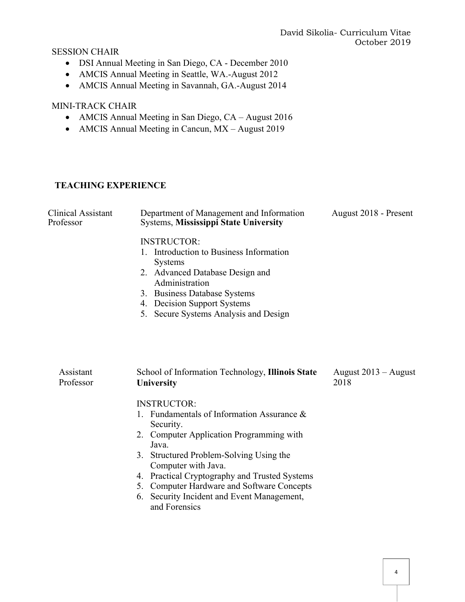SESSION CHAIR

- DSI Annual Meeting in San Diego, CA December 2010
- AMCIS Annual Meeting in Seattle, WA.-August 2012
- AMCIS Annual Meeting in Savannah, GA.-August 2014

### MINI-TRACK CHAIR

- AMCIS Annual Meeting in San Diego, CA August 2016
- AMCIS Annual Meeting in Cancun, MX August 2019

## **TEACHING EXPERIENCE**

| Clinical Assistant<br>Professor | Department of Management and Information<br><b>Systems, Mississippi State University</b>                                                                                                                                                                                                                                                                              | August 2018 - Present          |
|---------------------------------|-----------------------------------------------------------------------------------------------------------------------------------------------------------------------------------------------------------------------------------------------------------------------------------------------------------------------------------------------------------------------|--------------------------------|
|                                 | <b>INSTRUCTOR:</b><br>1. Introduction to Business Information<br><b>Systems</b><br>2. Advanced Database Design and<br>Administration<br>3. Business Database Systems<br>4. Decision Support Systems<br>5. Secure Systems Analysis and Design                                                                                                                          |                                |
| Assistant<br>Professor          | School of Information Technology, Illinois State<br>University                                                                                                                                                                                                                                                                                                        | August $2013 -$ August<br>2018 |
|                                 | <b>INSTRUCTOR:</b><br>1. Fundamentals of Information Assurance &<br>Security.<br>2. Computer Application Programming with<br>Java.<br>3. Structured Problem-Solving Using the<br>Computer with Java.<br>4. Practical Cryptography and Trusted Systems<br>5. Computer Hardware and Software Concepts<br>Security Incident and Event Management,<br>6.<br>and Forensics |                                |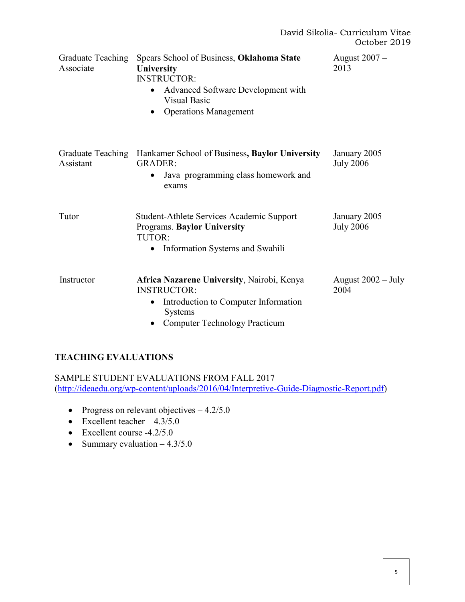| <b>Graduate Teaching</b><br>Associate | Spears School of Business, Oklahoma State<br><b>University</b><br><b>INSTRUCTOR:</b><br>Advanced Software Development with<br>$\bullet$<br><b>Visual Basic</b><br><b>Operations Management</b><br>$\bullet$ | August 2007 –<br>2013                |
|---------------------------------------|-------------------------------------------------------------------------------------------------------------------------------------------------------------------------------------------------------------|--------------------------------------|
| Graduate Teaching<br>Assistant        | Hankamer School of Business, Baylor University<br><b>GRADER:</b><br>Java programming class homework and<br>$\bullet$<br>exams                                                                               | January $2005 -$<br><b>July 2006</b> |
| Tutor                                 | Student-Athlete Services Academic Support<br><b>Programs. Baylor University</b><br>TUTOR:<br>Information Systems and Swahili<br>٠                                                                           | January $2005 -$<br><b>July 2006</b> |
| Instructor                            | Africa Nazarene University, Nairobi, Kenya<br><b>INSTRUCTOR:</b><br>Introduction to Computer Information<br>$\bullet$<br><b>Systems</b><br><b>Computer Technology Practicum</b>                             | August $2002 - July$<br>2004         |

## **TEACHING EVALUATIONS**

SAMPLE STUDENT EVALUATIONS FROM FALL 2017 (http://ideaedu.org/wp-content/uploads/2016/04/Interpretive-Guide-Diagnostic-Report.pdf)

- Progress on relevant objectives  $-4.2/5.0$
- Excellent teacher  $-4.3/5.0$
- Excellent course -4.2/5.0
- Summary evaluation  $-4.3/5.0$